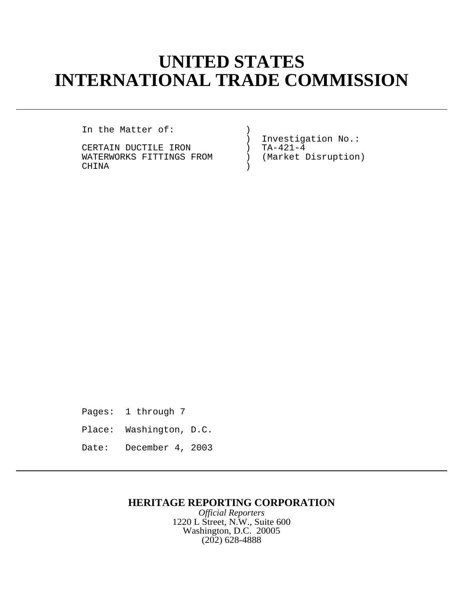# **UNITED STATES INTERNATIONAL TRADE COMMISSION**

In the Matter of: )

CERTAIN DUCTILE IRON (TA-421-4)<br>WATERWORKS FITTINGS FROM (Market Disruption) WATERWORKS FITTINGS FROM CHINA )

Investigation No.:<br>TA-421-4

Pages: 1 through 7

- Place: Washington, D.C.
- Date: December 4, 2003

## **HERITAGE REPORTING CORPORATION**

*Official Reporters* 1220 L Street, N.W., Suite 600 Washington, D.C. 20005 (202) 628-4888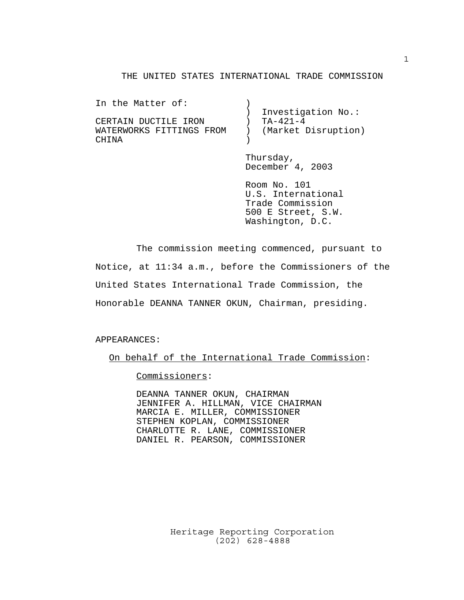#### THE UNITED STATES INTERNATIONAL TRADE COMMISSION

| In the Matter of:        |                     |
|--------------------------|---------------------|
|                          | Investigation No.:  |
| CERTAIN DUCTILE IRON     | TA-421-4            |
| WATERWORKS FITTINGS FROM | (Market Disruption) |
| <b>CHINA</b>             |                     |

Thursday, December 4, 2003

Room No. 101 U.S. International Trade Commission 500 E Street, S.W. Washington, D.C.

The commission meeting commenced, pursuant to Notice, at 11:34 a.m., before the Commissioners of the United States International Trade Commission, the Honorable DEANNA TANNER OKUN, Chairman, presiding.

#### APPEARANCES:

On behalf of the International Trade Commission:

Commissioners:

DEANNA TANNER OKUN, CHAIRMAN JENNIFER A. HILLMAN, VICE CHAIRMAN MARCIA E. MILLER, COMMISSIONER STEPHEN KOPLAN, COMMISSIONER CHARLOTTE R. LANE, COMMISSIONER DANIEL R. PEARSON, COMMISSIONER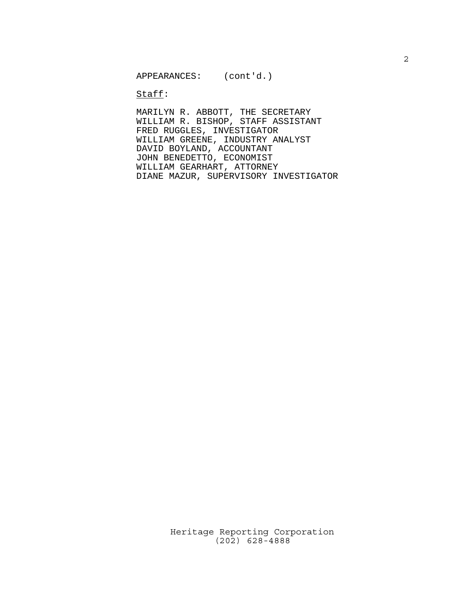$\texttt{Staff}:$ 

MARILYN R. ABBOTT, THE SECRETARY WILLIAM R. BISHOP, STAFF ASSISTANT FRED RUGGLES, INVESTIGATOR WILLIAM GREENE, INDUSTRY ANALYST DAVID BOYLAND, ACCOUNTANT JOHN BENEDETTO, ECONOMIST WILLIAM GEARHART, ATTORNEY DIANE MAZUR, SUPERVISORY INVESTIGATOR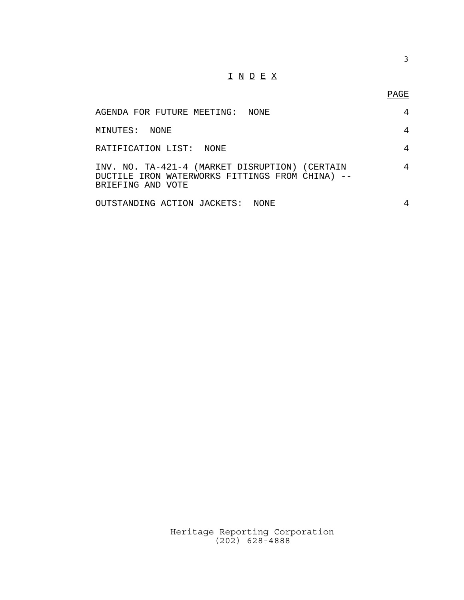## $\underline{\texttt{I}} \ \underline{\texttt{N}} \ \underline{\texttt{D}} \ \underline{\texttt{E}} \ \underline{\texttt{X}}$

3

| AGENDA FOR FUTURE MEETING: NONE                                                                                        |       | 4 |
|------------------------------------------------------------------------------------------------------------------------|-------|---|
| MINUTES: NONE                                                                                                          |       | 4 |
| RATIFICATION LIST: NONE                                                                                                |       | 4 |
| INV. NO. TA-421-4 (MARKET DISRUPTION) (CERTAIN<br>DUCTILE IRON WATERWORKS FITTINGS FROM CHINA) --<br>BRIEFING AND VOTE |       | 4 |
| OUTSTANDING ACTION JACKETS:                                                                                            | NONE. | 4 |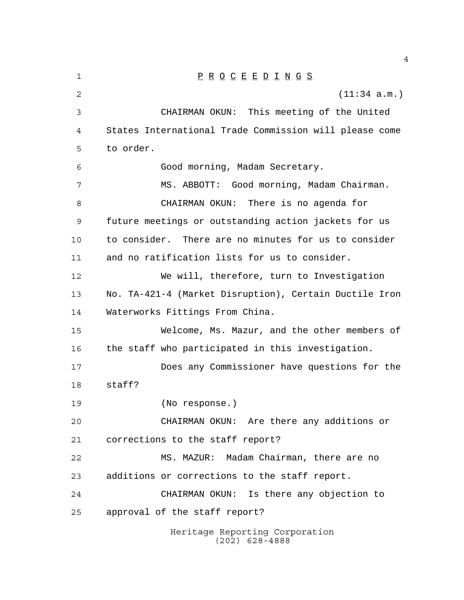| 1  | $\underline{P} \underline{R} \underline{O} \underline{C} \underline{E} \underline{E} \underline{D} \underline{I} \underline{N} \underline{G} \underline{S}$ |
|----|-------------------------------------------------------------------------------------------------------------------------------------------------------------|
| 2  | (11:34 a.m.)                                                                                                                                                |
| 3  | CHAIRMAN OKUN: This meeting of the United                                                                                                                   |
| 4  | States International Trade Commission will please come                                                                                                      |
| 5  | to order.                                                                                                                                                   |
| 6  | Good morning, Madam Secretary.                                                                                                                              |
| 7  | MS. ABBOTT: Good morning, Madam Chairman.                                                                                                                   |
| 8  | CHAIRMAN OKUN: There is no agenda for                                                                                                                       |
| 9  | future meetings or outstanding action jackets for us                                                                                                        |
| 10 | to consider. There are no minutes for us to consider                                                                                                        |
| 11 | and no ratification lists for us to consider.                                                                                                               |
| 12 | We will, therefore, turn to Investigation                                                                                                                   |
| 13 | No. TA-421-4 (Market Disruption), Certain Ductile Iron                                                                                                      |
| 14 | Waterworks Fittings From China.                                                                                                                             |
| 15 | Welcome, Ms. Mazur, and the other members of                                                                                                                |
| 16 | the staff who participated in this investigation.                                                                                                           |
| 17 | Does any Commissioner have questions for the                                                                                                                |
| 18 | staff?                                                                                                                                                      |
| 19 | (No response.)                                                                                                                                              |
| 20 | CHAIRMAN OKUN: Are there any additions or                                                                                                                   |
| 21 | corrections to the staff report?                                                                                                                            |
| 22 | MS. MAZUR: Madam Chairman, there are no                                                                                                                     |
| 23 | additions or corrections to the staff report.                                                                                                               |
| 24 | CHAIRMAN OKUN: Is there any objection to                                                                                                                    |
| 25 | approval of the staff report?                                                                                                                               |
|    | Heritage Reporting Corporation<br>$(202)$ 628-4888                                                                                                          |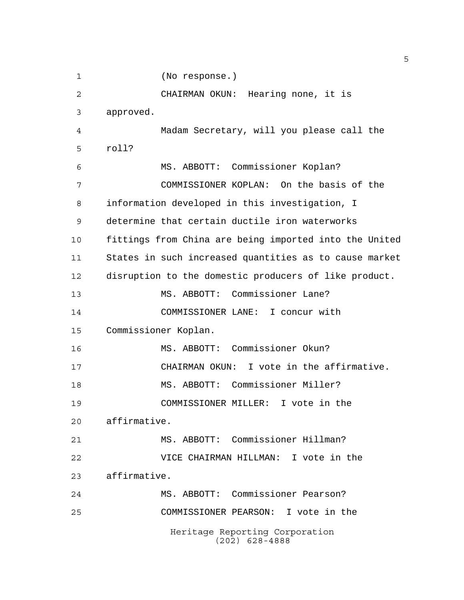(No response.)

Heritage Reporting Corporation (202) 628-4888 CHAIRMAN OKUN: Hearing none, it is approved. Madam Secretary, will you please call the roll? MS. ABBOTT: Commissioner Koplan? COMMISSIONER KOPLAN: On the basis of the information developed in this investigation, I determine that certain ductile iron waterworks fittings from China are being imported into the United States in such increased quantities as to cause market disruption to the domestic producers of like product. MS. ABBOTT: Commissioner Lane? COMMISSIONER LANE: I concur with Commissioner Koplan. MS. ABBOTT: Commissioner Okun? CHAIRMAN OKUN: I vote in the affirmative. MS. ABBOTT: Commissioner Miller? COMMISSIONER MILLER: I vote in the affirmative. MS. ABBOTT: Commissioner Hillman? VICE CHAIRMAN HILLMAN: I vote in the affirmative. MS. ABBOTT: Commissioner Pearson? COMMISSIONER PEARSON: I vote in the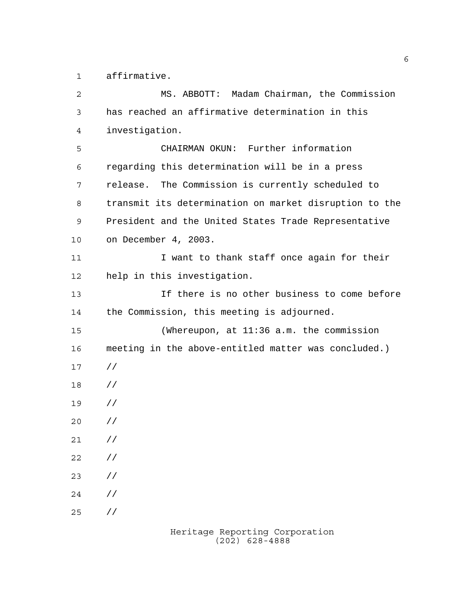affirmative.

| 2  | MS. ABBOTT: Madam Chairman, the Commission             |
|----|--------------------------------------------------------|
| 3  | has reached an affirmative determination in this       |
| 4  | investigation.                                         |
| 5  | CHAIRMAN OKUN: Further information                     |
| 6  | regarding this determination will be in a press        |
| 7  | release. The Commission is currently scheduled to      |
| 8  | transmit its determination on market disruption to the |
| 9  | President and the United States Trade Representative   |
| 10 | on December 4, 2003.                                   |
| 11 | I want to thank staff once again for their             |
| 12 | help in this investigation.                            |
| 13 | If there is no other business to come before           |
| 14 | the Commission, this meeting is adjourned.             |
| 15 | (Whereupon, at $11:36$ a.m. the commission             |
| 16 | meeting in the above-entitled matter was concluded.)   |
| 17 | $\frac{1}{2}$                                          |
| 18 | $\frac{1}{2}$                                          |
| 19 | $\frac{1}{2}$                                          |
| 20 | $\frac{1}{2}$                                          |
| 21 | $\frac{1}{2}$                                          |
| 22 | $\frac{1}{2}$                                          |
| 23 | $\frac{1}{2}$                                          |
| 24 | $\frac{1}{2}$                                          |
| 25 | $\frac{1}{2}$                                          |
|    |                                                        |